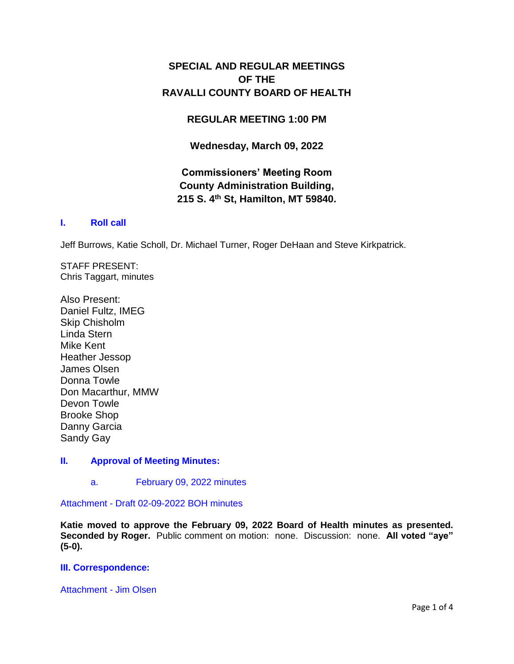# **SPECIAL AND REGULAR MEETINGS OF THE RAVALLI COUNTY BOARD OF HEALTH**

## **REGULAR MEETING 1:00 PM**

**Wednesday, March 09, 2022**

# **Commissioners' Meeting Room County Administration Building, 215 S. 4th St, Hamilton, MT 59840.**

## **I. [Roll call](http://ravalli-mt.granicus.com/wordlinkreceiver.php?clip_id=f0d026cc-7df3-458a-9ac4-1ddcf224a06a&meta_id=5e664b2d-d695-45a1-956d-b88c4dd00737&time=0)**

Jeff Burrows, Katie Scholl, Dr. Michael Turner, Roger DeHaan and Steve Kirkpatrick.

STAFF PRESENT: Chris Taggart, minutes

Also Present: Daniel Fultz, IMEG Skip Chisholm Linda Stern Mike Kent Heather Jessop James Olsen Donna Towle Don Macarthur, MMW Devon Towle Brooke Shop Danny Garcia Sandy Gay

## **II. [Approval of Meeting Minutes:](http://ravalli-mt.granicus.com/wordlinkreceiver.php?clip_id=f0d026cc-7df3-458a-9ac4-1ddcf224a06a&meta_id=a0cb118b-9972-4eba-a027-c97cf2637933&time=16)**

a. [February 09, 2022 minutes](http://ravalli-mt.granicus.com/wordlinkreceiver.php?clip_id=f0d026cc-7df3-458a-9ac4-1ddcf224a06a&meta_id=58610b9e-0263-4bc3-ba3d-8e075011e0d7&time=36)

Attachment - [Draft 02-09-2022 BOH minutes](http://ravalli-mt.granicus.com/DocumentViewer.php?file=ravalli-mt_a1771b00ef4cac86e5d47dc2b1906922.pdf)

**Katie moved to approve the February 09, 2022 Board of Health minutes as presented. Seconded by Roger.** Public comment on motion: none. Discussion: none. **All voted "aye" (5-0).**

#### **[III. Correspondence:](http://ravalli-mt.granicus.com/wordlinkreceiver.php?clip_id=f0d026cc-7df3-458a-9ac4-1ddcf224a06a&meta_id=77c02864-5cce-4cc5-aeb1-fcec70583397&time=62)**

[Attachment -](http://ravalli-mt.granicus.com/DocumentViewer.php?file=ravalli-mt_50229d0db8b31ca3098a22c5cd7e448b.pdf) Jim Olsen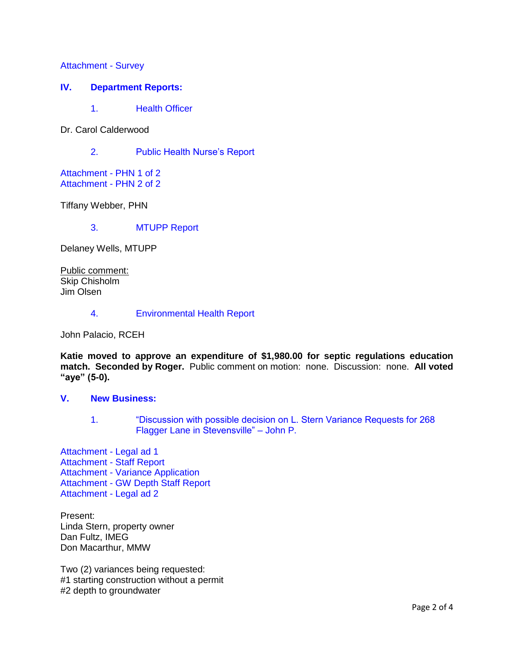[Attachment -](http://ravalli-mt.granicus.com/DocumentViewer.php?file=ravalli-mt_5e1ce7be5bd01d90153eea71bf593006.pdf) Survey

#### **IV. [Department Reports:](http://ravalli-mt.granicus.com/wordlinkreceiver.php?clip_id=f0d026cc-7df3-458a-9ac4-1ddcf224a06a&meta_id=544566c0-283b-42fc-bad4-76e7a78c9ba9&time=156)**

1. [Health Officer](http://ravalli-mt.granicus.com/wordlinkreceiver.php?clip_id=f0d026cc-7df3-458a-9ac4-1ddcf224a06a&meta_id=3add2591-1290-407d-b07c-fae151ef2b94&time=157)

Dr. Carol Calderwood

2. [Public Health Nurse's Report](http://ravalli-mt.granicus.com/wordlinkreceiver.php?clip_id=f0d026cc-7df3-458a-9ac4-1ddcf224a06a&meta_id=6f0aa31e-adae-4fbe-876b-c05d5abd8b41&time=337)

[Attachment -](http://ravalli-mt.granicus.com/DocumentViewer.php?file=ravalli-mt_91716ea255d37e7a33c365e57773410b.pdf) PHN 1 of 2 [Attachment -](http://ravalli-mt.granicus.com/DocumentViewer.php?file=ravalli-mt_a2bde5d63958a116394d4c992675b013.pdf) PHN 2 of 2

Tiffany Webber, PHN

3. [MTUPP Report](http://ravalli-mt.granicus.com/wordlinkreceiver.php?clip_id=f0d026cc-7df3-458a-9ac4-1ddcf224a06a&meta_id=e9af6dfd-937b-47c4-a5ed-1afae590369e&time=1389)

Delaney Wells, MTUPP

Public comment: Skip Chisholm Jim Olsen

4. [Environmental Health Report](http://ravalli-mt.granicus.com/wordlinkreceiver.php?clip_id=f0d026cc-7df3-458a-9ac4-1ddcf224a06a&meta_id=8aceb2b6-644f-4fc3-9935-3a42e0fe16b0&time=2327)

John Palacio, RCEH

**Katie moved to approve an expenditure of \$1,980.00 for septic regulations education match. Seconded by Roger.** Public comment on motion: none. Discussion: none. **All voted "aye" (5-0).**

### **V. [New Business:](http://ravalli-mt.granicus.com/wordlinkreceiver.php?clip_id=f0d026cc-7df3-458a-9ac4-1ddcf224a06a&meta_id=c4f5b3fd-bd98-43fb-a124-1248306973d9&time=3076)**

1. ["Discussion with possible decision on L. Stern Variance Requests for 268](http://ravalli-mt.granicus.com/wordlinkreceiver.php?clip_id=f0d026cc-7df3-458a-9ac4-1ddcf224a06a&meta_id=2fedc666-728a-4dcc-af12-a8abcbf2e4c8&time=3078)  [Flagger Lane in](http://ravalli-mt.granicus.com/wordlinkreceiver.php?clip_id=f0d026cc-7df3-458a-9ac4-1ddcf224a06a&meta_id=2fedc666-728a-4dcc-af12-a8abcbf2e4c8&time=3078) Stevensville" – John P.

[Attachment -](http://ravalli-mt.granicus.com/DocumentViewer.php?file=ravalli-mt_33462742eaea4f50ee49582bf3c38233.pdf) Legal ad 1 [Attachment -](http://ravalli-mt.granicus.com/DocumentViewer.php?file=ravalli-mt_0f9ae13d57a89a7c8f6045bb91161053.pdf) Staff Report Attachment - [Variance Application](http://ravalli-mt.granicus.com/DocumentViewer.php?file=ravalli-mt_f8b884ab193929b16f53e18b60073eb1.pdf) Attachment - [GW Depth Staff Report](http://ravalli-mt.granicus.com/DocumentViewer.php?file=ravalli-mt_3c26c86c412a78a573ce46730a7e2f5d.pdf) [Attachment -](http://ravalli-mt.granicus.com/DocumentViewer.php?file=ravalli-mt_e8a4ffe059b45a59446ba0bbe5f68207.pdf) Legal ad 2

Present: Linda Stern, property owner Dan Fultz, IMEG Don Macarthur, MMW

Two (2) variances being requested: #1 starting construction without a permit #2 depth to groundwater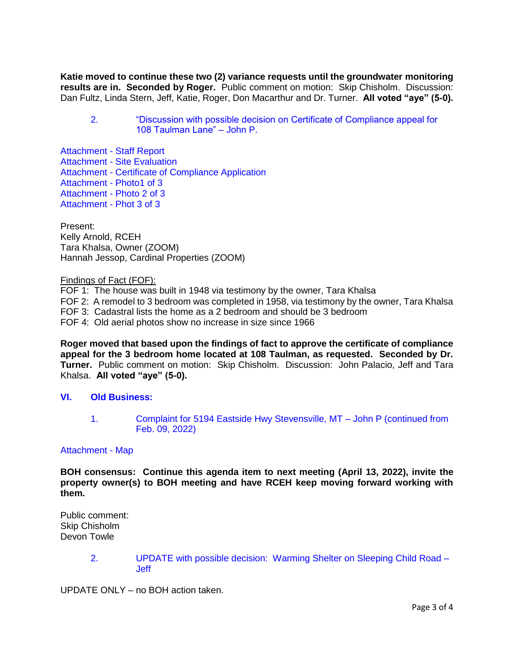**Katie moved to continue these two (2) variance requests until the groundwater monitoring results are in. Seconded by Roger.** Public comment on motion: Skip Chisholm. Discussion: Dan Fultz, Linda Stern, Jeff, Katie, Roger, Don Macarthur and Dr. Turner. **All voted "aye" (5-0).**

2. ["Discussion with possible decision on Certificate of Compliance appeal for](http://ravalli-mt.granicus.com/wordlinkreceiver.php?clip_id=f0d026cc-7df3-458a-9ac4-1ddcf224a06a&meta_id=92e0a520-23c8-4246-8901-c2ac9f2e6335&time=5699)  [108 Taulman Lane" –](http://ravalli-mt.granicus.com/wordlinkreceiver.php?clip_id=f0d026cc-7df3-458a-9ac4-1ddcf224a06a&meta_id=92e0a520-23c8-4246-8901-c2ac9f2e6335&time=5699) John P.

[Attachment -](http://ravalli-mt.granicus.com/DocumentViewer.php?file=ravalli-mt_f2242600b4f57a6255082a479bb9bf59.pdf) Staff Report Attachment - [Site Evaluation](http://ravalli-mt.granicus.com/DocumentViewer.php?file=ravalli-mt_075cc3b3a4b75fbf2fe02aa27810a224.pdf) Attachment - [Certificate of Compliance Application](http://ravalli-mt.granicus.com/DocumentViewer.php?file=ravalli-mt_b9cb04c3388031396e96a82f17b9056c.pdf) [Attachment -](http://ravalli-mt.granicus.com/DocumentViewer.php?file=ravalli-mt_8b4d4514b61ecc0ddd4fcace2f4a5df7.pdf) Photo1 of 3 [Attachment -](http://ravalli-mt.granicus.com/DocumentViewer.php?file=ravalli-mt_54c70e3a6658143366df5d05e6091720.pdf) Photo 2 of 3 [Attachment -](http://ravalli-mt.granicus.com/DocumentViewer.php?file=ravalli-mt_0935556936eb74e056a8853638192bc3.pdf) Phot 3 of 3

Present: Kelly Arnold, RCEH Tara Khalsa, Owner (ZOOM) Hannah Jessop, Cardinal Properties (ZOOM)

#### Findings of Fact (FOF):

FOF 1: The house was built in 1948 via testimony by the owner, Tara Khalsa FOF 2: A remodel to 3 bedroom was completed in 1958, via testimony by the owner, Tara Khalsa FOF 3: Cadastral lists the home as a 2 bedroom and should be 3 bedroom FOF 4: Old aerial photos show no increase in size since 1966

**Roger moved that based upon the findings of fact to approve the certificate of compliance appeal for the 3 bedroom home located at 108 Taulman, as requested. Seconded by Dr. Turner.** Public comment on motion: Skip Chisholm. Discussion: John Palacio, Jeff and Tara Khalsa. **All voted "aye" (5-0).**

### **VI. [Old Business:](http://ravalli-mt.granicus.com/wordlinkreceiver.php?clip_id=f0d026cc-7df3-458a-9ac4-1ddcf224a06a&meta_id=870e6efd-568e-4334-a470-29c7fe2663ca&time=6373)**

1. [Complaint for 5194 Eastside Hwy Stevensville, MT –](http://ravalli-mt.granicus.com/wordlinkreceiver.php?clip_id=f0d026cc-7df3-458a-9ac4-1ddcf224a06a&meta_id=aeeb188a-6a7a-4e8b-9877-fc0411ee2879&time=6385) John P (continued from [Feb. 09, 2022\)](http://ravalli-mt.granicus.com/wordlinkreceiver.php?clip_id=f0d026cc-7df3-458a-9ac4-1ddcf224a06a&meta_id=aeeb188a-6a7a-4e8b-9877-fc0411ee2879&time=6385)

#### [Attachment -](http://ravalli-mt.granicus.com/DocumentViewer.php?file=ravalli-mt_75e69b850bdf1ee51d18f82314bcb757.pdf) Map

**BOH consensus: Continue this agenda item to next meeting (April 13, 2022), invite the property owner(s) to BOH meeting and have RCEH keep moving forward working with them.**

Public comment: Skip Chisholm Devon Towle

> 2. [UPDATE with possible decision: Warming Shelter on Sleeping Child Road –](http://ravalli-mt.granicus.com/wordlinkreceiver.php?clip_id=f0d026cc-7df3-458a-9ac4-1ddcf224a06a&meta_id=2fb8cc0f-21d9-4afd-80fd-88220fcb06b3&time=7396) [Jeff](http://ravalli-mt.granicus.com/wordlinkreceiver.php?clip_id=f0d026cc-7df3-458a-9ac4-1ddcf224a06a&meta_id=2fb8cc0f-21d9-4afd-80fd-88220fcb06b3&time=7396)

UPDATE ONLY – no BOH action taken.